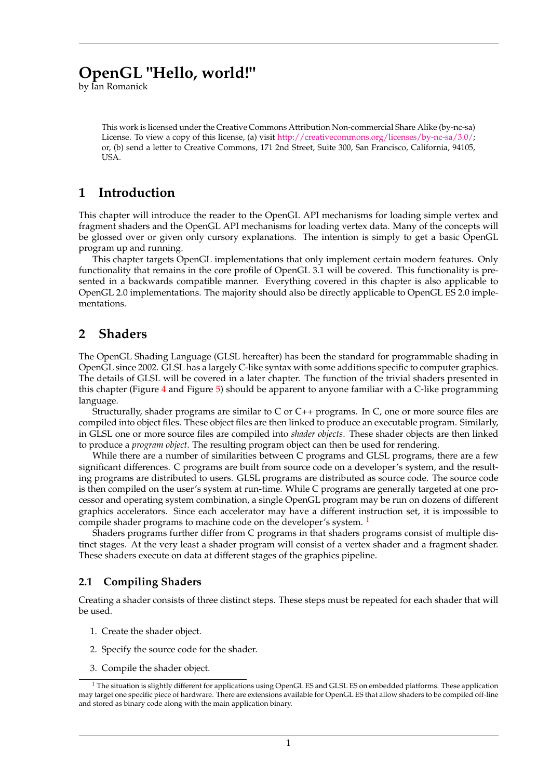# **OpenGL "Hello, world!"**

by Ian Romanick

This work is licensed under the Creative Commons Attribution Non-commercial Share Alike (by-nc-sa) License. To view a copy of this license, (a) visit [http://creativecommons.org/licenses/by-nc-sa/3.0/;](http://creativecommons.org/licenses/by-nc-sa/3.0/) or, (b) send a letter to Creative Commons, 171 2nd Street, Suite 300, San Francisco, California, 94105, USA.

## **1 Introduction**

This chapter will introduce the reader to the OpenGL API mechanisms for loading simple vertex and fragment shaders and the OpenGL API mechanisms for loading vertex data. Many of the concepts will be glossed over or given only cursory explanations. The intention is simply to get a basic OpenGL program up and running.

This chapter targets OpenGL implementations that only implement certain modern features. Only functionality that remains in the core profile of OpenGL 3.1 will be covered. This functionality is presented in a backwards compatible manner. Everything covered in this chapter is also applicable to OpenGL 2.0 implementations. The majority should also be directly applicable to OpenGL ES 2.0 implementations.

## **2 Shaders**

The OpenGL Shading Language (GLSL hereafter) has been the standard for programmable shading in OpenGL since 2002. GLSL has a largely C-like syntax with some additions specific to computer graphics. The details of GLSL will be covered in a later chapter. The function of the trivial shaders presented in this chapter (Figure [4](#page-3-0) and Figure [5\)](#page-3-1) should be apparent to anyone familiar with a C-like programming language.

Structurally, shader programs are similar to C or C++ programs. In C, one or more source files are compiled into object files. These object files are then linked to produce an executable program. Similarly, in GLSL one or more source files are compiled into *shader objects*. These shader objects are then linked to produce a *program object*. The resulting program object can then be used for rendering.

While there are a number of similarities between C programs and GLSL programs, there are a few significant differences. C programs are built from source code on a developer's system, and the resulting programs are distributed to users. GLSL programs are distributed as source code. The source code is then compiled on the user's system at run-time. While C programs are generally targeted at one processor and operating system combination, a single OpenGL program may be run on dozens of different graphics accelerators. Since each accelerator may have a different instruction set, it is impossible to compile shader programs to machine code on the developer's system.<sup>[1](#page-0-0)</sup>

Shaders programs further differ from C programs in that shaders programs consist of multiple distinct stages. At the very least a shader program will consist of a vertex shader and a fragment shader. These shaders execute on data at different stages of the graphics pipeline.

## **2.1 Compiling Shaders**

Creating a shader consists of three distinct steps. These steps must be repeated for each shader that will be used.

- 1. Create the shader object.
- 2. Specify the source code for the shader.
- 3. Compile the shader object.

<span id="page-0-0"></span><sup>1</sup> The situation is slightly different for applications using OpenGL ES and GLSL ES on embedded platforms. These application may target one specific piece of hardware. There are extensions available for OpenGL ES that allow shaders to be compiled off-line and stored as binary code along with the main application binary.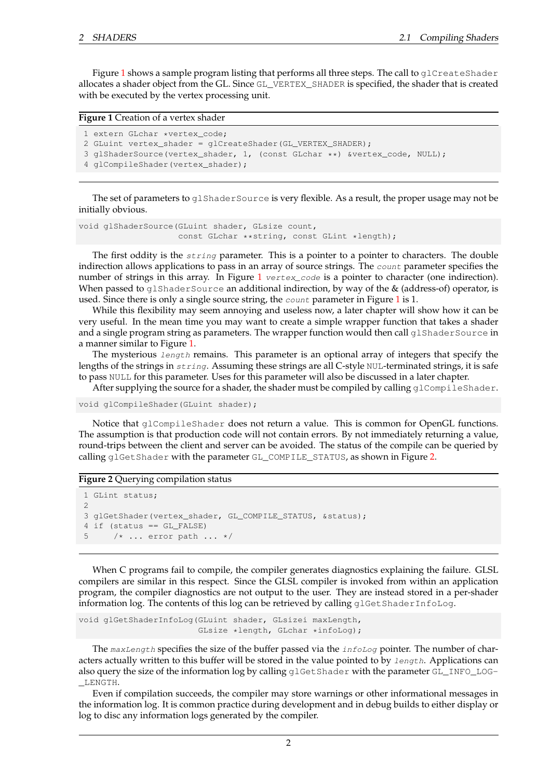Figure [1](#page-1-0) shows a sample program listing that performs all three steps. The call to  $g1CreateShader$ allocates a shader object from the GL. Since GL\_VERTEX\_SHADER is specified, the shader that is created with be executed by the vertex processing unit.

#### <span id="page-1-0"></span>**Figure 1** Creation of a vertex shader

```
1 extern GLchar *vertex_code;
```

```
2 GLuint vertex_shader = glCreateShader(GL_VERTEX_SHADER);
```
- 3 glShaderSource(vertex\_shader, 1, (const GLchar \*\*) &vertex\_code, NULL);
- 4 glCompileShader(vertex\_shader);

The set of parameters to glShaderSource is very flexible. As a result, the proper usage may not be initially obvious.

```
void glShaderSource(GLuint shader, GLsize count,
                    const GLchar **string, const GLint *length);
```
The first oddity is the *string* parameter. This is a pointer to a pointer to characters. The double indirection allows applications to pass in an array of source strings. The *count* parameter specifies the number of strings in this array. In Figure  $1$  vertex code is a pointer to character (one indirection). When passed to  $q1$ ShaderSource an additional indirection, by way of the  $\&$  (address-of) operator, is used. Since there is only a single source string, the  $count$  parameter in Figure [1](#page-1-0) is 1.

While this flexibility may seem annoying and useless now, a later chapter will show how it can be very useful. In the mean time you may want to create a simple wrapper function that takes a shader and a single program string as parameters. The wrapper function would then call  $g1$ ShaderSource in a manner similar to Figure [1.](#page-1-0)

The mysterious  $length$  remains. This parameter is an optional array of integers that specify the lengths of the strings in string. Assuming these strings are all C-style NUL-terminated strings, it is safe to pass NULL for this parameter. Uses for this parameter will also be discussed in a later chapter.

After supplying the source for a shader, the shader must be compiled by calling  $g1$ CompileShader.

```
void glCompileShader(GLuint shader);
```
Notice that glCompileShader does not return a value. This is common for OpenGL functions. The assumption is that production code will not contain errors. By not immediately returning a value, round-trips between the client and server can be avoided. The status of the compile can be queried by calling glGetShader with the parameter GL\_COMPILE\_STATUS, as shown in Figure [2.](#page-1-1)

#### <span id="page-1-1"></span>**Figure 2** Querying compilation status

```
1 GLint status;
2
3 glGetShader(vertex_shader, GL_COMPILE_STATUS, &status);
4 if (status == GL_FALSE)
5 /* ... error path ... */
```
When C programs fail to compile, the compiler generates diagnostics explaining the failure. GLSL compilers are similar in this respect. Since the GLSL compiler is invoked from within an application program, the compiler diagnostics are not output to the user. They are instead stored in a per-shader information log. The contents of this log can be retrieved by calling qlGetShaderInfoLog.

```
void glGetShaderInfoLog(GLuint shader, GLsizei maxLength,
                        GLsize *length, GLchar *infoLog);
```
The maxLength specifies the size of the buffer passed via the  $infoLog$  pointer. The number of characters actually written to this buffer will be stored in the value pointed to by length. Applications can also query the size of the information log by calling glGetShader with the parameter GL\_INFO\_LOG- \_LENGTH.

Even if compilation succeeds, the compiler may store warnings or other informational messages in the information log. It is common practice during development and in debug builds to either display or log to disc any information logs generated by the compiler.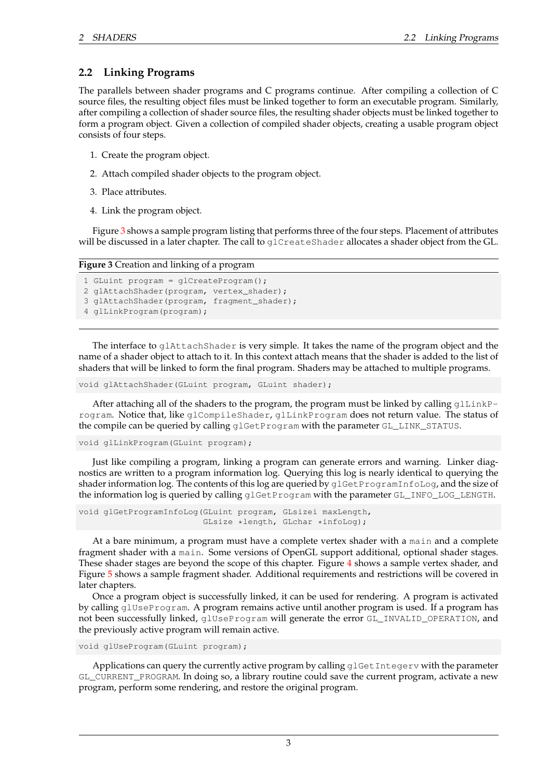### **2.2 Linking Programs**

The parallels between shader programs and C programs continue. After compiling a collection of C source files, the resulting object files must be linked together to form an executable program. Similarly, after compiling a collection of shader source files, the resulting shader objects must be linked together to form a program object. Given a collection of compiled shader objects, creating a usable program object consists of four steps.

- 1. Create the program object.
- 2. Attach compiled shader objects to the program object.
- 3. Place attributes.
- 4. Link the program object.

Figure [3](#page-2-0) shows a sample program listing that performs three of the four steps. Placement of attributes will be discussed in a later chapter. The call to glCreateShader allocates a shader object from the GL.

<span id="page-2-0"></span>**Figure 3** Creation and linking of a program

```
1 GLuint program = glCreateProgram();
2 glAttachShader(program, vertex shader);
3 glAttachShader(program, fragment_shader);
4 glLinkProgram(program);
```
The interface to glAttachShader is very simple. It takes the name of the program object and the name of a shader object to attach to it. In this context attach means that the shader is added to the list of shaders that will be linked to form the final program. Shaders may be attached to multiple programs.

void glAttachShader(GLuint program, GLuint shader);

After attaching all of the shaders to the program, the program must be linked by calling  $g1LinkP$ rogram. Notice that, like glCompileShader, glLinkProgram does not return value. The status of the compile can be queried by calling glGetProgram with the parameter GL\_LINK\_STATUS.

void glLinkProgram(GLuint program);

Just like compiling a program, linking a program can generate errors and warning. Linker diagnostics are written to a program information log. Querying this log is nearly identical to querying the shader information log. The contents of this log are queried by  $q1GetProgramInfolog$ , and the size of the information log is queried by calling glGetProgram with the parameter GL\_INFO\_LOG\_LENGTH.

```
void glGetProgramInfoLog(GLuint program, GLsizei maxLength,
                         GLsize *length, GLchar *infoLog);
```
At a bare minimum, a program must have a complete vertex shader with a main and a complete fragment shader with a main. Some versions of OpenGL support additional, optional shader stages. These shader stages are beyond the scope of this chapter. Figure [4](#page-3-0) shows a sample vertex shader, and Figure [5](#page-3-1) shows a sample fragment shader. Additional requirements and restrictions will be covered in later chapters.

Once a program object is successfully linked, it can be used for rendering. A program is activated by calling glUseProgram. A program remains active until another program is used. If a program has not been successfully linked, glUseProgram will generate the error GL\_INVALID\_OPERATION, and the previously active program will remain active.

void glUseProgram(GLuint program);

Applications can query the currently active program by calling  $q$ 1GetIntegerv with the parameter GL\_CURRENT\_PROGRAM. In doing so, a library routine could save the current program, activate a new program, perform some rendering, and restore the original program.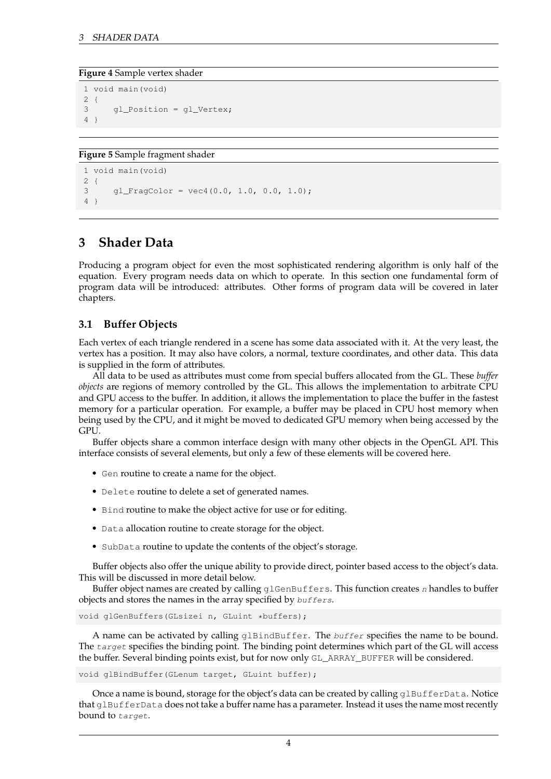#### <span id="page-3-0"></span>**Figure 4** Sample vertex shader

```
1 void main(void)
2 {
3 gl_Position = gl_Vertex;
4 }
```
<span id="page-3-1"></span>**Figure 5** Sample fragment shader

```
1 void main(void)
2 {
3 gl_FragColor = vec4(0.0, 1.0, 0.0, 1.0);
\overline{4}
```
## **3 Shader Data**

Producing a program object for even the most sophisticated rendering algorithm is only half of the equation. Every program needs data on which to operate. In this section one fundamental form of program data will be introduced: attributes. Other forms of program data will be covered in later chapters.

### **3.1 Buffer Objects**

Each vertex of each triangle rendered in a scene has some data associated with it. At the very least, the vertex has a position. It may also have colors, a normal, texture coordinates, and other data. This data is supplied in the form of attributes.

All data to be used as attributes must come from special buffers allocated from the GL. These *buffer objects* are regions of memory controlled by the GL. This allows the implementation to arbitrate CPU and GPU access to the buffer. In addition, it allows the implementation to place the buffer in the fastest memory for a particular operation. For example, a buffer may be placed in CPU host memory when being used by the CPU, and it might be moved to dedicated GPU memory when being accessed by the GPU.

Buffer objects share a common interface design with many other objects in the OpenGL API. This interface consists of several elements, but only a few of these elements will be covered here.

- Gen routine to create a name for the object.
- Delete routine to delete a set of generated names.
- Bind routine to make the object active for use or for editing.
- Data allocation routine to create storage for the object.
- SubData routine to update the contents of the object's storage.

Buffer objects also offer the unique ability to provide direct, pointer based access to the object's data. This will be discussed in more detail below.

Buffer object names are created by calling  $q \perp$ GenBuffers. This function creates n handles to buffer objects and stores the names in the array specified by buffers.

```
void glGenBuffers(GLsizei n, GLuint *buffers);
```
A name can be activated by calling glBindBuffer. The buffer specifies the name to be bound. The target specifies the binding point. The binding point determines which part of the GL will access the buffer. Several binding points exist, but for now only GL\_ARRAY\_BUFFER will be considered.

void glBindBuffer(GLenum target, GLuint buffer);

Once a name is bound, storage for the object's data can be created by calling qlBufferData. Notice that glBufferData does not take a buffer name has a parameter. Instead it uses the name most recently bound to target.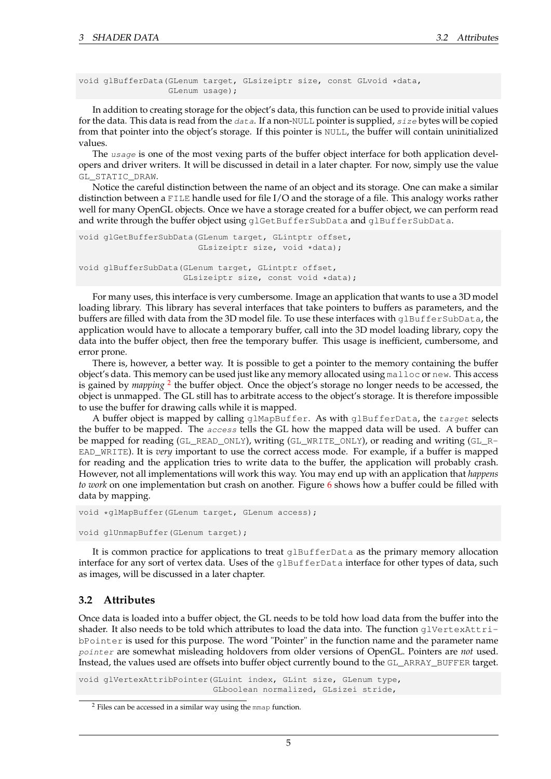```
void glBufferData(GLenum target, GLsizeiptr size, const GLvoid *data,
                  GLenum usage);
```
In addition to creating storage for the object's data, this function can be used to provide initial values for the data. This data is read from the  $data$ . If a non-NULL pointer is supplied,  $size$  bytes will be copied from that pointer into the object's storage. If this pointer is NULL, the buffer will contain uninitialized values.

The usage is one of the most vexing parts of the buffer object interface for both application developers and driver writers. It will be discussed in detail in a later chapter. For now, simply use the value GL\_STATIC\_DRAW.

Notice the careful distinction between the name of an object and its storage. One can make a similar distinction between a FILE handle used for file I/O and the storage of a file. This analogy works rather well for many OpenGL objects. Once we have a storage created for a buffer object, we can perform read and write through the buffer object using qlGetBufferSubData and qlBufferSubData.

```
void glGetBufferSubData(GLenum target, GLintptr offset,
                        GLsizeiptr size, void *data);
void glBufferSubData(GLenum target, GLintptr offset,
                     GLsizeiptr size, const void *data);
```
For many uses, this interface is very cumbersome. Image an application that wants to use a 3D model loading library. This library has several interfaces that take pointers to buffers as parameters, and the buffers are filled with data from the 3D model file. To use these interfaces with glBufferSubData, the application would have to allocate a temporary buffer, call into the 3D model loading library, copy the data into the buffer object, then free the temporary buffer. This usage is inefficient, cumbersome, and error prone.

There is, however, a better way. It is possible to get a pointer to the memory containing the buffer object's data. This memory can be used just like any memory allocated using malloc or new. This access is gained by *mapping* <sup>[2](#page-4-0)</sup> the buffer object. Once the object's storage no longer needs to be accessed, the object is unmapped. The GL still has to arbitrate access to the object's storage. It is therefore impossible to use the buffer for drawing calls while it is mapped.

A buffer object is mapped by calling glMapBuffer. As with glBufferData, the target selects the buffer to be mapped. The *access* tells the GL how the mapped data will be used. A buffer can be mapped for reading (GL\_READ\_ONLY), writing (GL\_WRITE\_ONLY), or reading and writing (GL\_R-EAD\_WRITE). It is *very* important to use the correct access mode. For example, if a buffer is mapped for reading and the application tries to write data to the buffer, the application will probably crash. However, not all implementations will work this way. You may end up with an application that *happens to work* on one implementation but crash on another. Figure [6](#page-5-0) shows how a buffer could be filled with data by mapping.

```
void *glMapBuffer(GLenum target, GLenum access);
void glUnmapBuffer(GLenum target);
```
It is common practice for applications to treat glBufferData as the primary memory allocation interface for any sort of vertex data. Uses of the qlBufferData interface for other types of data, such as images, will be discussed in a later chapter.

### **3.2 Attributes**

Once data is loaded into a buffer object, the GL needs to be told how load data from the buffer into the shader. It also needs to be told which attributes to load the data into. The function glVertexAttribPointer is used for this purpose. The word "Pointer" in the function name and the parameter name pointer are somewhat misleading holdovers from older versions of OpenGL. Pointers are *not* used. Instead, the values used are offsets into buffer object currently bound to the GL\_ARRAY\_BUFFER target.

void glVertexAttribPointer(GLuint index, GLint size, GLenum type, GLboolean normalized, GLsizei stride,

<span id="page-4-0"></span><sup>2</sup> Files can be accessed in a similar way using the mmap function.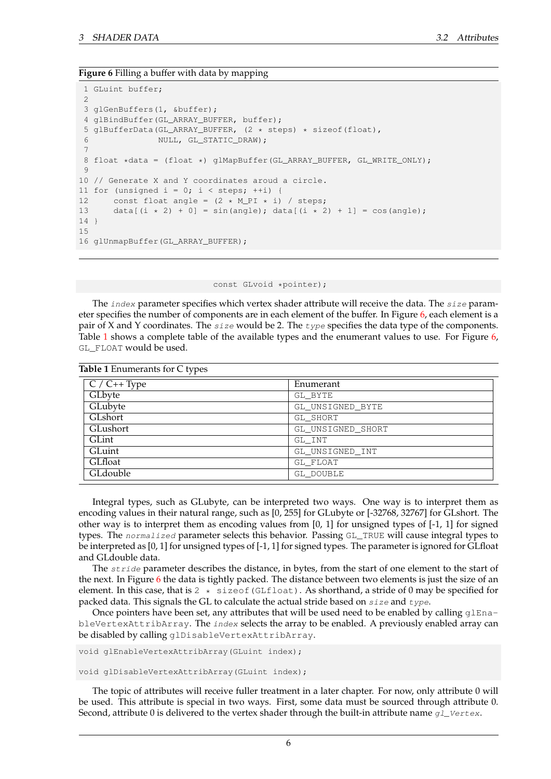<span id="page-5-1"></span>**Table 1** Environments for C types

#### <span id="page-5-0"></span>**Figure 6** Filling a buffer with data by mapping

```
1 GLuint buffer;
 \mathcal{L}3 glGenBuffers(1, &buffer);
 4 glBindBuffer(GL_ARRAY_BUFFER, buffer);
 5 glBufferData(GL_ARRAY_BUFFER, (2 * steps) * sizeof(float),
                NULL, GL_STATIC_DRAW);
 7
 8 float *data = (float *) glMapBuffer(GL_ARRAY_BUFFER, GL_WRITE_ONLY);
 \circ10 // Generate X and Y coordinates aroud a circle.
11 for (unsigned i = 0; i < steps; +i) {
12 const float angle = (2 * M_PI * i) / steps;
13 data[(i * 2) + 0] = sin(angle); data[(i * 2) + 1] = cos(angle);
14<sup>1</sup>15
16 glUnmapBuffer(GL_ARRAY_BUFFER);
```
const GLvoid \*pointer);

The  $index$  parameter specifies which vertex shader attribute will receive the data. The  $size$  parameter specifies the number of components are in each element of the buffer. In Figure [6,](#page-5-0) each element is a pair of X and Y coordinates. The  $size$  would be 2. The  $type$  specifies the data type of the components. Table [1](#page-5-1) shows a complete table of the available types and the enumerant values to use. For Figure [6,](#page-5-0) GL\_FLOAT would be used.

| <b>Table 1</b> Enumerants for $\cup$ types |                   |
|--------------------------------------------|-------------------|
| $C / C++Type$                              | Enumerant         |
| GLbyte                                     | GL BYTE           |
| GLubyte                                    | GL UNSIGNED BYTE  |
| GLshort                                    | GL SHORT          |
| GLushort                                   | GL UNSIGNED SHORT |
| GLint                                      | GL INT            |
| GLuint                                     | GL UNSIGNED INT   |
| GLfloat                                    | GL FLOAT          |
| GLdouble                                   | GL_DOUBLE         |

Integral types, such as GLubyte, can be interpreted two ways. One way is to interpret them as encoding values in their natural range, such as [0, 255] for GLubyte or [-32768, 32767] for GLshort. The other way is to interpret them as encoding values from  $[0, 1]$  for unsigned types of  $[-1, 1]$  for signed types. The normalized parameter selects this behavior. Passing GL\_TRUE will cause integral types to be interpreted as [0, 1] for unsigned types of [-1, 1] for signed types. The parameter is ignored for GLfloat and GLdouble data.

The *stride* parameter describes the distance, in bytes, from the start of one element to the start of the next. In Figure [6](#page-5-0) the data is tightly packed. The distance between two elements is just the size of an element. In this case, that is  $2 * sizeof(GLfload)$ . As shorthand, a stride of 0 may be specified for packed data. This signals the GL to calculate the actual stride based on  $size$  and  $type$ .

Once pointers have been set, any attributes that will be used need to be enabled by calling  $qlEna$ bleVertexAttribArray. The index selects the array to be enabled. A previously enabled array can be disabled by calling glDisableVertexAttribArray.

void glEnableVertexAttribArray(GLuint index);

void glDisableVertexAttribArray(GLuint index);

The topic of attributes will receive fuller treatment in a later chapter. For now, only attribute 0 will be used. This attribute is special in two ways. First, some data must be sourced through attribute 0. Second, attribute 0 is delivered to the vertex shader through the built-in attribute name  $g_1$  vertex.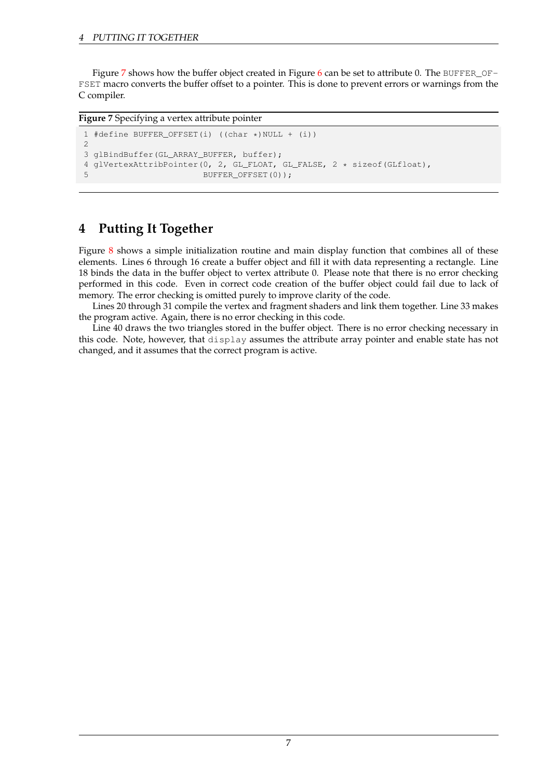Figure [7](#page-6-0) shows how the buffer object created in Figure [6](#page-5-0) can be set to attribute 0. The BUFFER\_OF-FSET macro converts the buffer offset to a pointer. This is done to prevent errors or warnings from the C compiler.

### <span id="page-6-0"></span>**Figure 7** Specifying a vertex attribute pointer

```
1 #define BUFFER_OFFSET(i) ((char *)NULL + (i))
2
3 glBindBuffer(GL_ARRAY_BUFFER, buffer);
4 glVertexAttribPointer(0, 2, GL_FLOAT, GL_FALSE, 2 * sizeof(GLfloat),
                        5 BUFFER_OFFSET(0));
```
## **4 Putting It Together**

Figure [8](#page-7-0) shows a simple initialization routine and main display function that combines all of these elements. Lines 6 through 16 create a buffer object and fill it with data representing a rectangle. Line 18 binds the data in the buffer object to vertex attribute 0. Please note that there is no error checking performed in this code. Even in correct code creation of the buffer object could fail due to lack of memory. The error checking is omitted purely to improve clarity of the code.

Lines 20 through 31 compile the vertex and fragment shaders and link them together. Line 33 makes the program active. Again, there is no error checking in this code.

Line 40 draws the two triangles stored in the buffer object. There is no error checking necessary in this code. Note, however, that display assumes the attribute array pointer and enable state has not changed, and it assumes that the correct program is active.